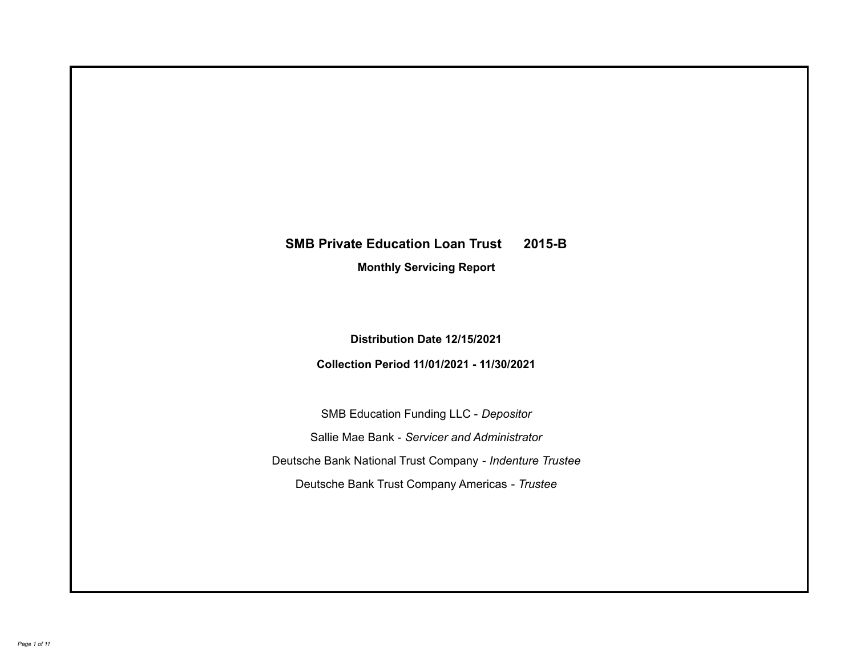# **SMB Private Education Loan Trust 2015-B**

**Monthly Servicing Report**

**Distribution Date 12/15/2021**

**Collection Period 11/01/2021 - 11/30/2021**

SMB Education Funding LLC - *Depositor* Sallie Mae Bank - *Servicer and Administrator* Deutsche Bank National Trust Company - *Indenture Trustee* Deutsche Bank Trust Company Americas - *Trustee*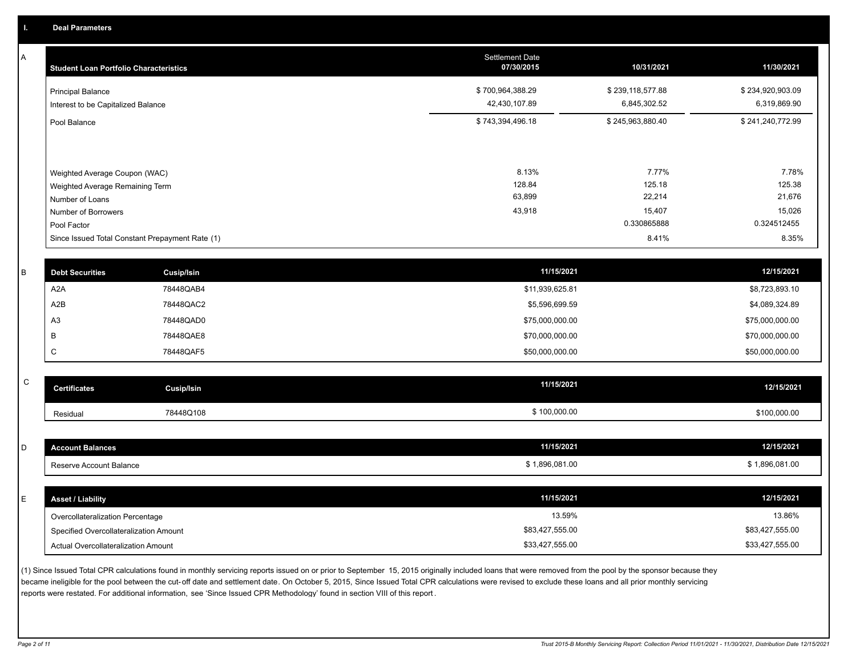A

| <b>Student Loan Portfolio Characteristics</b>                    | <b>Settlement Date</b><br>07/30/2015 | 10/31/2021                       | 11/30/2021                       |
|------------------------------------------------------------------|--------------------------------------|----------------------------------|----------------------------------|
| <b>Principal Balance</b><br>Interest to be Capitalized Balance   | \$700,964,388.29<br>42,430,107.89    | \$239,118,577.88<br>6,845,302.52 | \$234,920,903.09<br>6,319,869.90 |
| Pool Balance                                                     | \$743,394,496.18                     | \$245,963,880.40                 | \$241,240,772.99                 |
| Weighted Average Coupon (WAC)<br>Weighted Average Remaining Term | 8.13%<br>128.84                      | 7.77%<br>125.18                  | 7.78%<br>125.38                  |
| Number of Loans                                                  | 63,899                               | 22,214                           | 21,676                           |
| Number of Borrowers<br>Pool Factor                               | 43,918                               | 15,407<br>0.330865888            | 15,026<br>0.324512455            |
| Since Issued Total Constant Prepayment Rate (1)                  |                                      | 8.41%                            | 8.35%                            |

| В  | <b>Debt Securities</b> | <b>Cusip/Isin</b> | 11/15/2021      | 12/15/2021      |
|----|------------------------|-------------------|-----------------|-----------------|
|    | A <sub>2</sub> A       | 78448QAB4         | \$11,939,625.81 | \$8,723,893.10  |
|    | A2B                    | 78448QAC2         | \$5,596,699.59  | \$4,089,324.89  |
| A3 |                        | 78448QAD0         | \$75,000,000.00 | \$75,000,000.00 |
|    |                        | 78448QAE8         | \$70,000,000.00 | \$70,000,000.00 |
|    |                        | 78448QAF5         | \$50,000,000.00 | \$50,000,000.00 |

| ~<br>້ | Certificates | Cusip/Isin | 11/15/2021   | 12/15/2021   |
|--------|--------------|------------|--------------|--------------|
|        | Residual     | 78448Q108  | \$100,000.00 | \$100,000.00 |

| <b>Account Balances</b>                | 11/15/2021      | 12/15/2021      |
|----------------------------------------|-----------------|-----------------|
| Reserve Account Balance                | \$1,896,081.00  | \$1,896,081.00  |
|                                        |                 |                 |
|                                        |                 |                 |
| <b>Asset / Liability</b>               | 11/15/2021      | 12/15/2021      |
| Overcollateralization Percentage       | 13.59%          | 13.86%          |
| Specified Overcollateralization Amount | \$83,427,555.00 | \$83,427,555.00 |

(1) Since Issued Total CPR calculations found in monthly servicing reports issued on or prior to September 15, 2015 originally included loans that were removed from the pool by the sponsor because they became ineligible for the pool between the cut-off date and settlement date. On October 5, 2015, Since Issued Total CPR calculations were revised to exclude these loans and all prior monthly servicing reports were restated. For additional information, see 'Since Issued CPR Methodology' found in section VIII of this report .

Actual Overcollateralization Amount \$33,427,555.00

\$33,427,555.00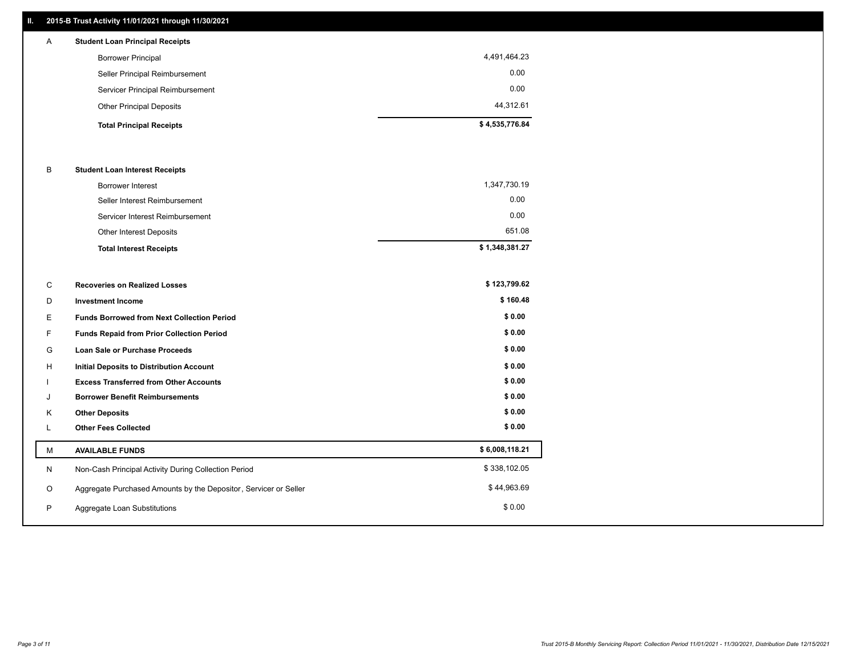# **II. 2015-B Trust Activity 11/01/2021 through 11/30/2021**

| $\mathsf{A}$ | <b>Student Loan Principal Receipts</b> |                |
|--------------|----------------------------------------|----------------|
|              | <b>Borrower Principal</b>              | 4,491,464.23   |
|              | Seller Principal Reimbursement         | 0.00           |
|              | Servicer Principal Reimbursement       | 0.00           |
|              | <b>Other Principal Deposits</b>        | 44.312.61      |
|              | <b>Total Principal Receipts</b>        | \$4,535,776.84 |

#### B **Student Loan Interest Receipts**

| <b>Total Interest Receipts</b>  | \$1,348,381.27 |
|---------------------------------|----------------|
| <b>Other Interest Deposits</b>  | 651.08         |
| Servicer Interest Reimbursement | 0.00           |
| Seller Interest Reimbursement   | 0.00           |
| <b>Borrower Interest</b>        | 1,347,730.19   |

| С  | <b>Recoveries on Realized Losses</b>                             | \$123,799.62   |
|----|------------------------------------------------------------------|----------------|
| D  | <b>Investment Income</b>                                         | \$160.48       |
| Е  | <b>Funds Borrowed from Next Collection Period</b>                | \$0.00         |
| F. | Funds Repaid from Prior Collection Period                        | \$0.00         |
| G  | <b>Loan Sale or Purchase Proceeds</b>                            | \$0.00         |
| H  | Initial Deposits to Distribution Account                         | \$0.00         |
|    | <b>Excess Transferred from Other Accounts</b>                    | \$0.00         |
| J  | <b>Borrower Benefit Reimbursements</b>                           | \$0.00         |
| Κ  | <b>Other Deposits</b>                                            | \$0.00         |
|    | <b>Other Fees Collected</b>                                      | \$0.00         |
| М  | <b>AVAILABLE FUNDS</b>                                           | \$6,008,118.21 |
| N  | Non-Cash Principal Activity During Collection Period             | \$338,102.05   |
| O  | Aggregate Purchased Amounts by the Depositor, Servicer or Seller | \$44,963.69    |
| P  | Aggregate Loan Substitutions                                     | \$0.00         |
|    |                                                                  |                |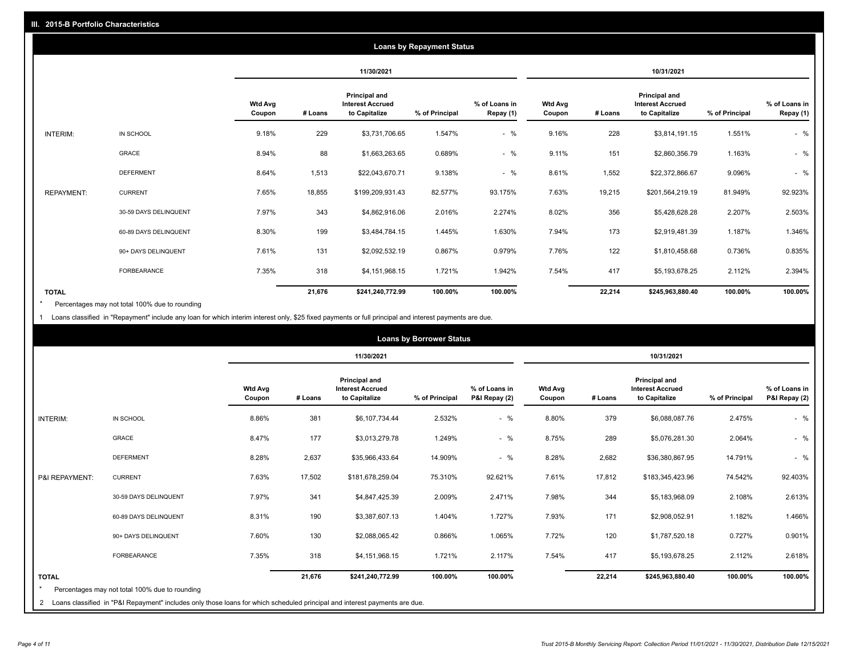| <b>Loans by Repayment Status</b> |                       |                          |            |                                                           |                |                            |                          |         |                                                           |                |                            |
|----------------------------------|-----------------------|--------------------------|------------|-----------------------------------------------------------|----------------|----------------------------|--------------------------|---------|-----------------------------------------------------------|----------------|----------------------------|
|                                  |                       |                          | 11/30/2021 |                                                           |                | 10/31/2021                 |                          |         |                                                           |                |                            |
|                                  |                       | <b>Wtd Avg</b><br>Coupon | # Loans    | Principal and<br><b>Interest Accrued</b><br>to Capitalize | % of Principal | % of Loans in<br>Repay (1) | <b>Wtd Avg</b><br>Coupon | # Loans | Principal and<br><b>Interest Accrued</b><br>to Capitalize | % of Principal | % of Loans in<br>Repay (1) |
| INTERIM:                         | IN SCHOOL             | 9.18%                    | 229        | \$3,731,706.65                                            | 1.547%         | $-$ %                      | 9.16%                    | 228     | \$3,814,191.15                                            | 1.551%         | $-$ %                      |
|                                  | GRACE                 | 8.94%                    | 88         | \$1,663,263.65                                            | 0.689%         | $-$ %                      | 9.11%                    | 151     | \$2,860,356.79                                            | 1.163%         | $-$ %                      |
|                                  | <b>DEFERMENT</b>      | 8.64%                    | 1,513      | \$22,043,670.71                                           | 9.138%         | $-$ %                      | 8.61%                    | 1,552   | \$22,372,866.67                                           | 9.096%         | $-$ %                      |
| <b>REPAYMENT:</b>                | <b>CURRENT</b>        | 7.65%                    | 18,855     | \$199,209,931.43                                          | 82.577%        | 93.175%                    | 7.63%                    | 19,215  | \$201,564,219.19                                          | 81.949%        | 92.923%                    |
|                                  | 30-59 DAYS DELINQUENT | 7.97%                    | 343        | \$4,862,916.06                                            | 2.016%         | 2.274%                     | 8.02%                    | 356     | \$5,428,628.28                                            | 2.207%         | 2.503%                     |
|                                  | 60-89 DAYS DELINQUENT | 8.30%                    | 199        | \$3,484,784.15                                            | 1.445%         | 1.630%                     | 7.94%                    | 173     | \$2,919,481.39                                            | 1.187%         | 1.346%                     |
|                                  | 90+ DAYS DELINQUENT   | 7.61%                    | 131        | \$2,092,532.19                                            | 0.867%         | 0.979%                     | 7.76%                    | 122     | \$1,810,458.68                                            | 0.736%         | 0.835%                     |
|                                  | <b>FORBEARANCE</b>    | 7.35%                    | 318        | \$4,151,968.15                                            | 1.721%         | 1.942%                     | 7.54%                    | 417     | \$5,193,678.25                                            | 2.112%         | 2.394%                     |
| <b>TOTAL</b>                     |                       |                          | 21,676     | \$241,240,772.99                                          | 100.00%        | 100.00%                    |                          | 22,214  | \$245,963,880.40                                          | 100.00%        | 100.00%                    |

Percentages may not total 100% due to rounding \*

1 Loans classified in "Repayment" include any loan for which interim interest only, \$25 fixed payments or full principal and interest payments are due.

| <b>Loans by Borrower Status</b> |                                                                                                                              |                          |            |                                                                  |                |                                |                          |         |                                                                  |                |                                |
|---------------------------------|------------------------------------------------------------------------------------------------------------------------------|--------------------------|------------|------------------------------------------------------------------|----------------|--------------------------------|--------------------------|---------|------------------------------------------------------------------|----------------|--------------------------------|
|                                 |                                                                                                                              |                          | 11/30/2021 |                                                                  |                |                                | 10/31/2021               |         |                                                                  |                |                                |
|                                 |                                                                                                                              | <b>Wtd Avg</b><br>Coupon | # Loans    | <b>Principal and</b><br><b>Interest Accrued</b><br>to Capitalize | % of Principal | % of Loans in<br>P&I Repay (2) | <b>Wtd Avg</b><br>Coupon | # Loans | <b>Principal and</b><br><b>Interest Accrued</b><br>to Capitalize | % of Principal | % of Loans in<br>P&I Repay (2) |
| <b>INTERIM:</b>                 | IN SCHOOL                                                                                                                    | 8.86%                    | 381        | \$6,107,734.44                                                   | 2.532%         | $-$ %                          | 8.80%                    | 379     | \$6,088,087.76                                                   | 2.475%         | $-$ %                          |
|                                 | <b>GRACE</b>                                                                                                                 | 8.47%                    | 177        | \$3,013,279.78                                                   | 1.249%         | $-$ %                          | 8.75%                    | 289     | \$5,076,281.30                                                   | 2.064%         | $-$ %                          |
|                                 | <b>DEFERMENT</b>                                                                                                             | 8.28%                    | 2,637      | \$35,966,433.64                                                  | 14.909%        | $-$ %                          | 8.28%                    | 2,682   | \$36,380,867.95                                                  | 14.791%        | $-$ %                          |
| P&I REPAYMENT:                  | <b>CURRENT</b>                                                                                                               | 7.63%                    | 17,502     | \$181,678,259.04                                                 | 75.310%        | 92.621%                        | 7.61%                    | 17,812  | \$183,345,423.96                                                 | 74.542%        | 92.403%                        |
|                                 | 30-59 DAYS DELINQUENT                                                                                                        | 7.97%                    | 341        | \$4,847,425.39                                                   | 2.009%         | 2.471%                         | 7.98%                    | 344     | \$5,183,968.09                                                   | 2.108%         | 2.613%                         |
|                                 | 60-89 DAYS DELINQUENT                                                                                                        | 8.31%                    | 190        | \$3,387,607.13                                                   | 1.404%         | 1.727%                         | 7.93%                    | 171     | \$2,908,052.91                                                   | 1.182%         | 1.466%                         |
|                                 | 90+ DAYS DELINQUENT                                                                                                          | 7.60%                    | 130        | \$2,088,065.42                                                   | 0.866%         | 1.065%                         | 7.72%                    | 120     | \$1,787,520.18                                                   | 0.727%         | 0.901%                         |
|                                 | <b>FORBEARANCE</b>                                                                                                           | 7.35%                    | 318        | \$4,151,968.15                                                   | 1.721%         | 2.117%                         | 7.54%                    | 417     | \$5,193,678.25                                                   | 2.112%         | 2.618%                         |
| <b>TOTAL</b>                    | Percentages may not total 100% due to rounding                                                                               |                          | 21,676     | \$241,240,772.99                                                 | 100.00%        | 100.00%                        |                          | 22,214  | \$245,963,880.40                                                 | 100.00%        | 100.00%                        |
|                                 | 2 Loans classified in "P&I Repayment" includes only those loans for which scheduled principal and interest payments are due. |                          |            |                                                                  |                |                                |                          |         |                                                                  |                |                                |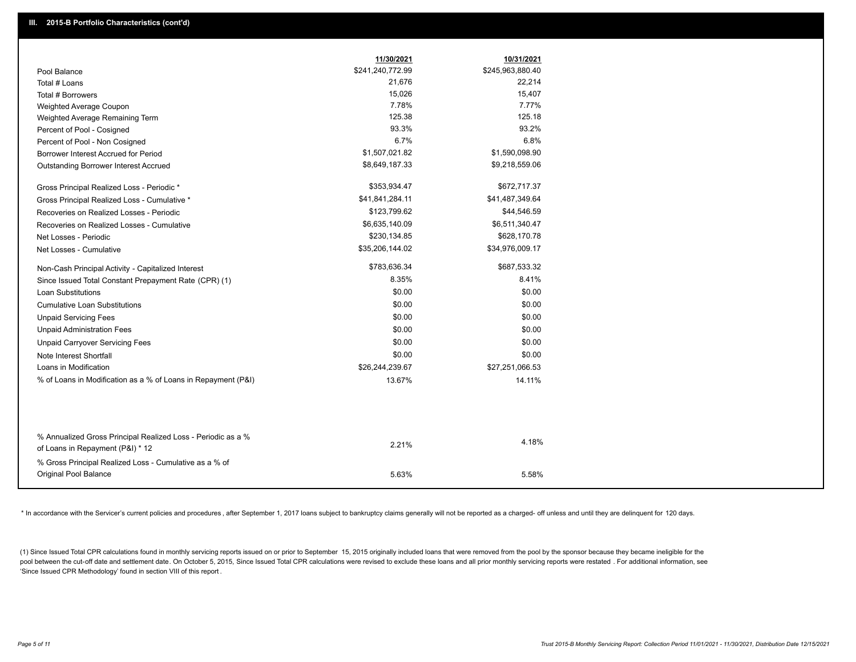|                                                               | 11/30/2021       | 10/31/2021       |
|---------------------------------------------------------------|------------------|------------------|
| Pool Balance                                                  | \$241,240,772.99 | \$245,963,880.40 |
| Total # Loans                                                 | 21,676           | 22,214           |
| Total # Borrowers                                             | 15,026           | 15,407           |
| Weighted Average Coupon                                       | 7.78%            | 7.77%            |
| Weighted Average Remaining Term                               | 125.38           | 125.18           |
| Percent of Pool - Cosigned                                    | 93.3%            | 93.2%            |
| Percent of Pool - Non Cosigned                                | 6.7%             | 6.8%             |
| Borrower Interest Accrued for Period                          | \$1,507,021.82   | \$1,590,098.90   |
| Outstanding Borrower Interest Accrued                         | \$8,649,187.33   | \$9,218,559.06   |
| Gross Principal Realized Loss - Periodic *                    | \$353,934.47     | \$672,717.37     |
| Gross Principal Realized Loss - Cumulative *                  | \$41,841,284.11  | \$41,487,349.64  |
| Recoveries on Realized Losses - Periodic                      | \$123,799.62     | \$44,546.59      |
| Recoveries on Realized Losses - Cumulative                    | \$6,635,140.09   | \$6,511,340.47   |
| Net Losses - Periodic                                         | \$230,134.85     | \$628,170.78     |
| Net Losses - Cumulative                                       | \$35,206,144.02  | \$34,976,009.17  |
| Non-Cash Principal Activity - Capitalized Interest            | \$783,636.34     | \$687,533.32     |
| Since Issued Total Constant Prepayment Rate (CPR) (1)         | 8.35%            | 8.41%            |
| Loan Substitutions                                            | \$0.00           | \$0.00           |
| <b>Cumulative Loan Substitutions</b>                          | \$0.00           | \$0.00           |
| <b>Unpaid Servicing Fees</b>                                  | \$0.00           | \$0.00           |
| <b>Unpaid Administration Fees</b>                             | \$0.00           | \$0.00           |
| <b>Unpaid Carryover Servicing Fees</b>                        | \$0.00           | \$0.00           |
| Note Interest Shortfall                                       | \$0.00           | \$0.00           |
| Loans in Modification                                         | \$26,244,239.67  | \$27,251,066.53  |
| % of Loans in Modification as a % of Loans in Repayment (P&I) | 13.67%           | 14.11%           |
|                                                               |                  |                  |
| % Annualized Gross Principal Realized Loss - Periodic as a %  |                  | 4.18%            |
| of Loans in Repayment (P&I) * 12                              | 2.21%            |                  |
| % Gross Principal Realized Loss - Cumulative as a % of        |                  |                  |
| Original Pool Balance                                         | 5.63%            | 5.58%            |

\* In accordance with the Servicer's current policies and procedures, after September 1, 2017 loans subject to bankruptcy claims generally will not be reported as a charged- off unless and until they are delinquent for 120

(1) Since Issued Total CPR calculations found in monthly servicing reports issued on or prior to September 15, 2015 originally included loans that were removed from the pool by the sponsor because they became ineligible fo pool between the cut-off date and settlement date. On October 5, 2015, Since Issued Total CPR calculations were revised to exclude these loans and all prior monthly servicing reports were restated. For additional informati 'Since Issued CPR Methodology' found in section VIII of this report .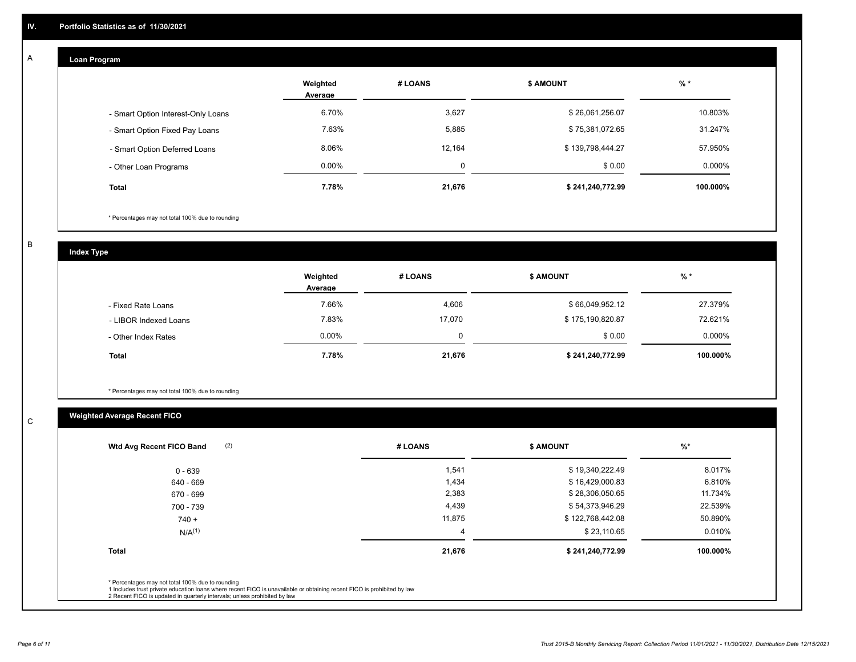#### **Loan Program**  A

|                                    | Weighted<br>Average | # LOANS | <b>\$ AMOUNT</b> | $%$ *     |
|------------------------------------|---------------------|---------|------------------|-----------|
| - Smart Option Interest-Only Loans | 6.70%               | 3,627   | \$26,061,256.07  | 10.803%   |
| - Smart Option Fixed Pay Loans     | 7.63%               | 5,885   | \$75,381,072.65  | 31.247%   |
| - Smart Option Deferred Loans      | 8.06%               | 12,164  | \$139,798,444.27 | 57.950%   |
| - Other Loan Programs              | 0.00%               | ۵       | \$0.00           | $0.000\%$ |
| <b>Total</b>                       | 7.78%               | 21,676  | \$241,240,772.99 | 100.000%  |

\* Percentages may not total 100% due to rounding

B

C

**Index Type**

|                       | Weighted<br>Average | # LOANS  | \$ AMOUNT        | $%$ *     |
|-----------------------|---------------------|----------|------------------|-----------|
| - Fixed Rate Loans    | 7.66%               | 4,606    | \$66,049,952.12  | 27.379%   |
| - LIBOR Indexed Loans | 7.83%               | 17.070   | \$175,190,820.87 | 72.621%   |
| - Other Index Rates   | $0.00\%$            | $\Omega$ | \$0.00           | $0.000\%$ |
| Total                 | 7.78%               | 21,676   | \$241,240,772.99 | 100.000%  |

\* Percentages may not total 100% due to rounding

# **Weighted Average Recent FICO**

| (2)<br>Wtd Avg Recent FICO Band                                                                                                                                             | # LOANS | <b>\$ AMOUNT</b> | $%$ *    |
|-----------------------------------------------------------------------------------------------------------------------------------------------------------------------------|---------|------------------|----------|
| $0 - 639$                                                                                                                                                                   | 1,541   | \$19,340,222.49  | 8.017%   |
| 640 - 669                                                                                                                                                                   | 1,434   | \$16,429,000.83  | 6.810%   |
| 670 - 699                                                                                                                                                                   | 2,383   | \$28,306,050.65  | 11.734%  |
| 700 - 739                                                                                                                                                                   | 4,439   | \$54,373,946.29  | 22.539%  |
| $740 +$                                                                                                                                                                     | 11,875  | \$122,768,442.08 | 50.890%  |
| N/A <sup>(1)</sup>                                                                                                                                                          | 4       | \$23,110.65      | 0.010%   |
| <b>Total</b>                                                                                                                                                                | 21,676  | \$241,240,772.99 | 100.000% |
| * Percentages may not total 100% due to rounding<br>1 Includes trust private education loans where recent FICO is unavailable or obtaining recent FICO is prohibited by law |         |                  |          |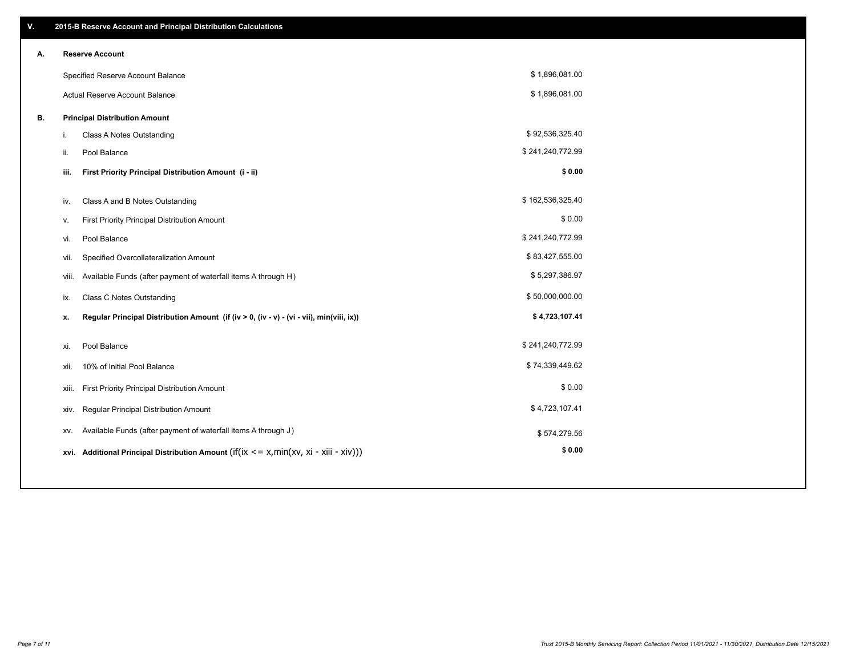| V. | 2015-B Reserve Account and Principal Distribution Calculations                                 |                  |  |
|----|------------------------------------------------------------------------------------------------|------------------|--|
| Α. | <b>Reserve Account</b>                                                                         |                  |  |
|    | Specified Reserve Account Balance                                                              | \$1,896,081.00   |  |
|    | Actual Reserve Account Balance                                                                 | \$1,896,081.00   |  |
| В. | <b>Principal Distribution Amount</b>                                                           |                  |  |
|    | Class A Notes Outstanding<br>i.                                                                | \$92,536,325.40  |  |
|    | Pool Balance<br>ii.                                                                            | \$241,240,772.99 |  |
|    | First Priority Principal Distribution Amount (i - ii)<br>iii.                                  | \$0.00           |  |
|    |                                                                                                | \$162,536,325.40 |  |
|    | Class A and B Notes Outstanding<br>iv.                                                         |                  |  |
|    | First Priority Principal Distribution Amount<br>٧.                                             | \$0.00           |  |
|    | Pool Balance<br>vi.                                                                            | \$241,240,772.99 |  |
|    | Specified Overcollateralization Amount<br>vii.                                                 | \$83,427,555.00  |  |
|    | Available Funds (after payment of waterfall items A through H)<br>viii.                        | \$5,297,386.97   |  |
|    | <b>Class C Notes Outstanding</b><br>ix.                                                        | \$50,000,000.00  |  |
|    | Regular Principal Distribution Amount (if (iv > 0, (iv - v) - (vi - vii), min(viii, ix))<br>х. | \$4,723,107.41   |  |
|    |                                                                                                |                  |  |
|    | Pool Balance<br>xi.                                                                            | \$241,240,772.99 |  |
|    | 10% of Initial Pool Balance<br>xii.                                                            | \$74,339,449.62  |  |
|    | First Priority Principal Distribution Amount<br>xiii.                                          | \$0.00           |  |
|    | Regular Principal Distribution Amount<br>xiv.                                                  | \$4,723,107.41   |  |
|    | Available Funds (after payment of waterfall items A through J)<br>XV.                          | \$574,279.56     |  |
|    | xvi. Additional Principal Distribution Amount (if(ix $\lt$ = x, min(xv, xi - xiii - xiv)))     | \$0.00           |  |
|    |                                                                                                |                  |  |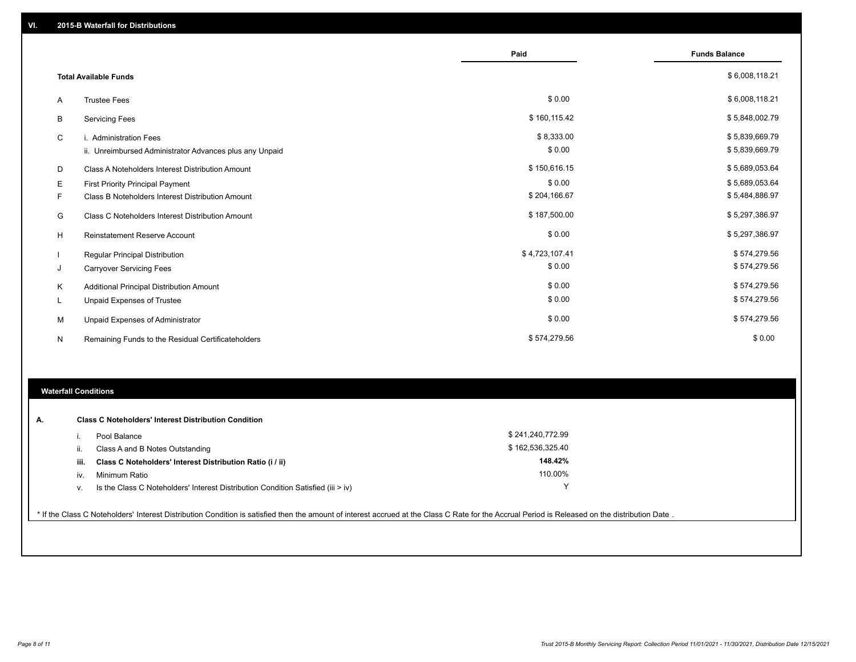|   |                                                         | Paid           | <b>Funds Balance</b> |
|---|---------------------------------------------------------|----------------|----------------------|
|   | <b>Total Available Funds</b>                            |                | \$6,008,118.21       |
| A | <b>Trustee Fees</b>                                     | \$0.00         | \$6,008,118.21       |
| В | <b>Servicing Fees</b>                                   | \$160,115.42   | \$5,848,002.79       |
| C | i. Administration Fees                                  | \$8,333.00     | \$5,839,669.79       |
|   | ii. Unreimbursed Administrator Advances plus any Unpaid | \$0.00         | \$5,839,669.79       |
| D | Class A Noteholders Interest Distribution Amount        | \$150,616.15   | \$5,689,053.64       |
| Е | First Priority Principal Payment                        | \$0.00         | \$5,689,053.64       |
| F | Class B Noteholders Interest Distribution Amount        | \$204,166.67   | \$5,484,886.97       |
| G | Class C Noteholders Interest Distribution Amount        | \$187,500.00   | \$5,297,386.97       |
| н | <b>Reinstatement Reserve Account</b>                    | \$0.00         | \$5,297,386.97       |
|   | Regular Principal Distribution                          | \$4,723,107.41 | \$574,279.56         |
| J | <b>Carryover Servicing Fees</b>                         | \$0.00         | \$574,279.56         |
| Κ | Additional Principal Distribution Amount                | \$0.00         | \$574,279.56         |
| L | Unpaid Expenses of Trustee                              | \$0.00         | \$574,279.56         |
| M | Unpaid Expenses of Administrator                        | \$0.00         | \$574,279.56         |
| N | Remaining Funds to the Residual Certificateholders      | \$574,279.56   | \$0.00               |

# **Waterfall Conditions**

| А. |      | <b>Class C Noteholders' Interest Distribution Condition</b>                        |                  |  |
|----|------|------------------------------------------------------------------------------------|------------------|--|
|    |      | Pool Balance                                                                       | \$241,240,772.99 |  |
|    |      | Class A and B Notes Outstanding                                                    | \$162,536,325.40 |  |
|    | iii. | Class C Noteholders' Interest Distribution Ratio (i / ii)                          | 148.42%          |  |
|    | IV.  | Minimum Ratio                                                                      | 110.00%          |  |
|    | ν.   | Is the Class C Noteholders' Interest Distribution Condition Satisfied (iii $>$ iv) |                  |  |
|    |      |                                                                                    |                  |  |

\* If the Class C Noteholders' Interest Distribution Condition is satisfied then the amount of interest accrued at the Class C Rate for the Accrual Period is Released on the distribution Date .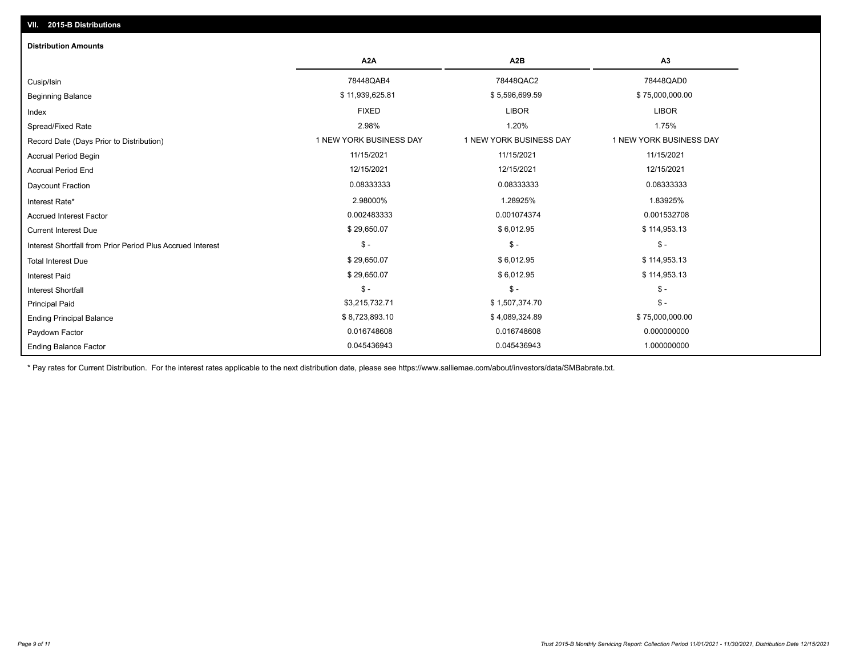# Ending Balance Factor Paydown Factor 0.016748608 0.016748608 0.000000000 Ending Principal Balance \$ 8,723,893.10 \$ 8,723,893.10 \$ \$ 4,089,324.89 \$ 75,000,000.00 Principal Paid \$3,215,732.71 \$ 1,507,374.70 \$ - \$ - \$ - \$ - Interest Shortfall \$ 29,650.07 \$ 6,012.95 \$ 114,953.13 Interest Paid Total Interest Due \$ 29,650.07 \$ 6,012.95 \$ 114,953.13 \$ - \$ - \$ - Interest Shortfall from Prior Period Plus Accrued Interest  $\text{Current Interest Due}$  \$114,953.13 Accrued Interest Factor 0.002483333 0.001074374 0.001532708 Interest Rate\* 2.98000% 1.28925% 1.83925% Daycount Fraction 0.08333333 0.08333333 0.08333333 Accrual Period End 12/15/2021 12/15/2021 12/15/2021 Accrual Period Begin 11/15/2021 11/15/2021 11/15/2021 Record Date (Days Prior to Distribution) **1 NEW YORK BUSINESS DAY** 1 NEW YORK BUSINESS DAY 1 NEW YORK BUSINESS DAY Spread/Fixed Rate 2.98% 1.20% 1.75% Index FIXED LIBOR LIBOR Beginning Balance \$ 11,939,625.81 \$ 5,596,699.59 \$ 5,596,699.59 \$ 75,000,000.00 \$ 75,000,000.00 \$ 3 \$ 75,000,000 Cusip/Isin 78448QAB4 78448QAC2 78448QAD0 **A2A A2B A3** 0.045436943 0.045436943 1.000000000 **Distribution Amounts**

\* Pay rates for Current Distribution. For the interest rates applicable to the next distribution date, please see https://www.salliemae.com/about/investors/data/SMBabrate.txt.

**VII. 2015-B Distributions**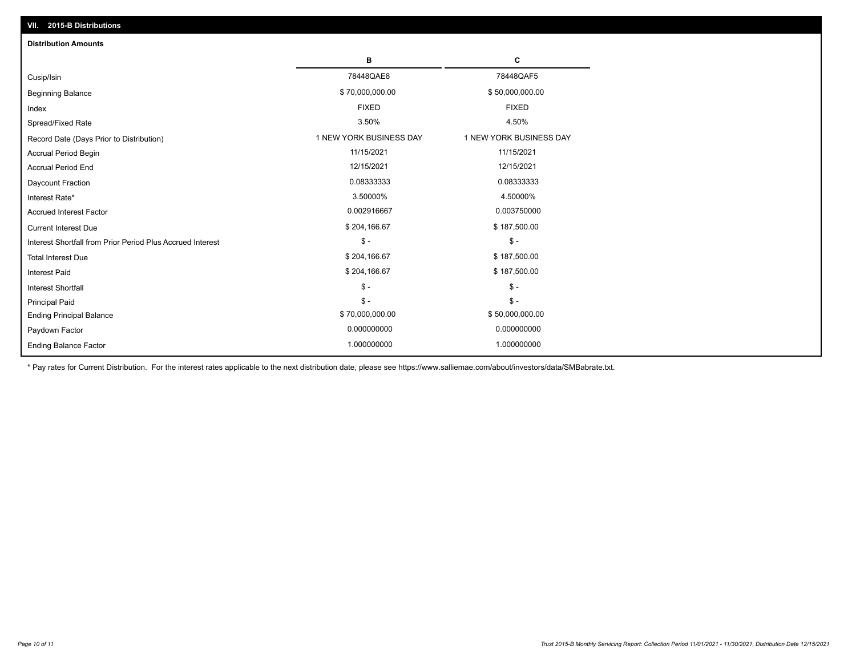| VII. 2015-B Distributions                                  |                         |                         |
|------------------------------------------------------------|-------------------------|-------------------------|
| <b>Distribution Amounts</b>                                |                         |                         |
|                                                            | в                       | С                       |
| Cusip/Isin                                                 | 78448QAE8               | 78448QAF5               |
| <b>Beginning Balance</b>                                   | \$70,000,000.00         | \$50,000,000.00         |
| Index                                                      | <b>FIXED</b>            | <b>FIXED</b>            |
| Spread/Fixed Rate                                          | 3.50%                   | 4.50%                   |
| Record Date (Days Prior to Distribution)                   | 1 NEW YORK BUSINESS DAY | 1 NEW YORK BUSINESS DAY |
| <b>Accrual Period Begin</b>                                | 11/15/2021              | 11/15/2021              |
| <b>Accrual Period End</b>                                  | 12/15/2021              | 12/15/2021              |
| Daycount Fraction                                          | 0.08333333              | 0.08333333              |
| Interest Rate*                                             | 3.50000%                | 4.50000%                |
| <b>Accrued Interest Factor</b>                             | 0.002916667             | 0.003750000             |
| <b>Current Interest Due</b>                                | \$204,166.67            | \$187,500.00            |
| Interest Shortfall from Prior Period Plus Accrued Interest | $\frac{1}{2}$           | $$ -$                   |
| <b>Total Interest Due</b>                                  | \$204,166.67            | \$187,500.00            |
| Interest Paid                                              | \$204,166.67            | \$187,500.00            |
| Interest Shortfall                                         | $\frac{1}{2}$           | $\frac{1}{2}$           |
| <b>Principal Paid</b>                                      | $\mathsf{\$}$ -         | $S -$                   |
| <b>Ending Principal Balance</b>                            | \$70,000,000.00         | \$50,000,000.00         |
| Paydown Factor                                             | 0.000000000             | 0.000000000             |
| <b>Ending Balance Factor</b>                               | 1.000000000             | 1.000000000             |

\* Pay rates for Current Distribution. For the interest rates applicable to the next distribution date, please see https://www.salliemae.com/about/investors/data/SMBabrate.txt.